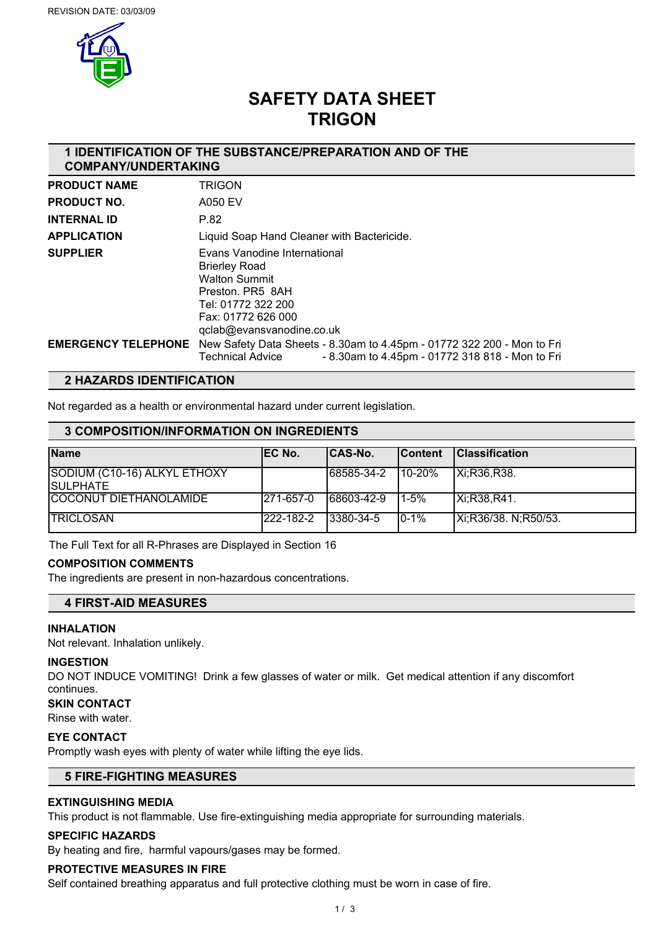

# **SAFETY DATA SHEET TRIGON**

## **1 IDENTIFICATION OF THE SUBSTANCE/PREPARATION AND OF THE COMPANY/UNDERTAKING**

| <b>PRODUCT NAME</b>        | <b>TRIGON</b>                                                                                                                                                             |
|----------------------------|---------------------------------------------------------------------------------------------------------------------------------------------------------------------------|
| <b>PRODUCT NO.</b>         | A050 EV                                                                                                                                                                   |
| <b>INTERNAL ID</b>         | P.82                                                                                                                                                                      |
| <b>APPLICATION</b>         | Liquid Soap Hand Cleaner with Bactericide.                                                                                                                                |
| <b>SUPPLIER</b>            | Evans Vanodine International<br><b>Brierley Road</b><br><b>Walton Summit</b><br>Preston, PR5 8AH<br>Tel: 01772 322 200<br>Fax: 01772 626 000<br>gclab@evansvanodine.co.uk |
| <b>EMERGENCY TELEPHONE</b> | New Safety Data Sheets - 8.30am to 4.45pm - 01772 322 200 - Mon to Fri<br>- 8.30am to 4.45pm - 01772 318 818 - Mon to Fri<br><b>Technical Advice</b>                      |

## **2 HAZARDS IDENTIFICATION**

Not regarded as a health or environmental hazard under current legislation.

## **3 COMPOSITION/INFORMATION ON INGREDIENTS**

| <b>Name</b>                                      | IEC No.    | ICAS-No.   | <b>Content</b> | <b>IClassification</b> |
|--------------------------------------------------|------------|------------|----------------|------------------------|
| SODIUM (C10-16) ALKYL ETHOXY<br><b>ISULPHATE</b> |            | 68585-34-2 | 10-20%         | IXi:R36,R38.           |
| COCONUT DIETHANOLAMIDE                           | 1271-657-0 | 68603-42-9 | $1-5%$         | Xi:R38,R41.            |
| <b>ITRICLOSAN</b>                                | 222-182-2  | 13380-34-5 | $10 - 1%$      | Xi;R36/38. N;R50/53.   |

The Full Text for all R-Phrases are Displayed in Section 16

## **COMPOSITION COMMENTS**

The ingredients are present in non-hazardous concentrations.

## **4 FIRST-AID MEASURES**

### **INHALATION**

Not relevant. Inhalation unlikely.

### **INGESTION**

DO NOT INDUCE VOMITING! Drink a few glasses of water or milk. Get medical attention if any discomfort continues.

## **SKIN CONTACT**

Rinse with water.

### **EYE CONTACT**

Promptly wash eyes with plenty of water while lifting the eye lids.

## **5 FIRE-FIGHTING MEASURES**

## **EXTINGUISHING MEDIA**

This product is not flammable. Use fire-extinguishing media appropriate for surrounding materials.

## **SPECIFIC HAZARDS**

By heating and fire, harmful vapours/gases may be formed.

## **PROTECTIVE MEASURES IN FIRE**

Self contained breathing apparatus and full protective clothing must be worn in case of fire.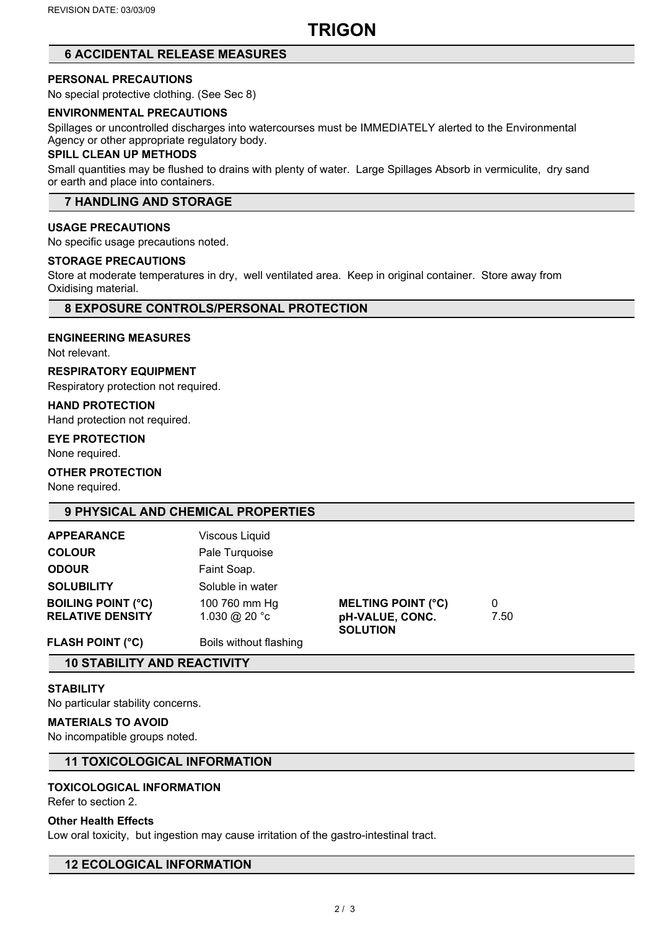# **TRIGON**

## **6 ACCIDENTAL RELEASE MEASURES**

## **PERSONAL PRECAUTIONS**

No special protective clothing. (See Sec 8)

## **ENVIRONMENTAL PRECAUTIONS**

Spillages or uncontrolled discharges into watercourses must be IMMEDIATELY alerted to the Environmental Agency or other appropriate regulatory body.

### **SPILL CLEAN UP METHODS**

Small quantities may be flushed to drains with plenty of water. Large Spillages Absorb in vermiculite, dry sand or earth and place into containers.

## **7 HANDLING AND STORAGE**

## **USAGE PRECAUTIONS**

No specific usage precautions noted.

#### **STORAGE PRECAUTIONS**

Store at moderate temperatures in dry, well ventilated area. Keep in original container. Store away from Oxidising material.

## **8 EXPOSURE CONTROLS/PERSONAL PROTECTION**

### **ENGINEERING MEASURES**

Not relevant.

### **RESPIRATORY EQUIPMENT**

Respiratory protection not required.

**HAND PROTECTION**

Hand protection not required.

### **EYE PROTECTION**

None required.

## **OTHER PROTECTION**

None required.

## **9 PHYSICAL AND CHEMICAL PROPERTIES**

| <b>APPEARANCE</b>         | Viscous Liquid         |                                    |      |  |
|---------------------------|------------------------|------------------------------------|------|--|
|                           |                        |                                    |      |  |
| <b>COLOUR</b>             | Pale Turquoise         |                                    |      |  |
| <b>ODOUR</b>              | Faint Soap.            |                                    |      |  |
| <b>SOLUBILITY</b>         | Soluble in water       |                                    |      |  |
| <b>BOILING POINT (°C)</b> | 100 760 mm Hg          | <b>MELTING POINT (°C)</b>          | 0    |  |
| <b>RELATIVE DENSITY</b>   | 1.030 @ 20 °c          | pH-VALUE, CONC.<br><b>SOLUTION</b> | 7.50 |  |
| <b>FLASH POINT (°C)</b>   | Boils without flashing |                                    |      |  |

## **10 STABILITY AND REACTIVITY**

## **STABILITY**

No particular stability concerns.

### **MATERIALS TO AVOID**

No incompatible groups noted.

## **11 TOXICOLOGICAL INFORMATION**

## **TOXICOLOGICAL INFORMATION**

Refer to section 2.

## **Other Health Effects**

Low oral toxicity, but ingestion may cause irritation of the gastro-intestinal tract.

## **12 ECOLOGICAL INFORMATION**